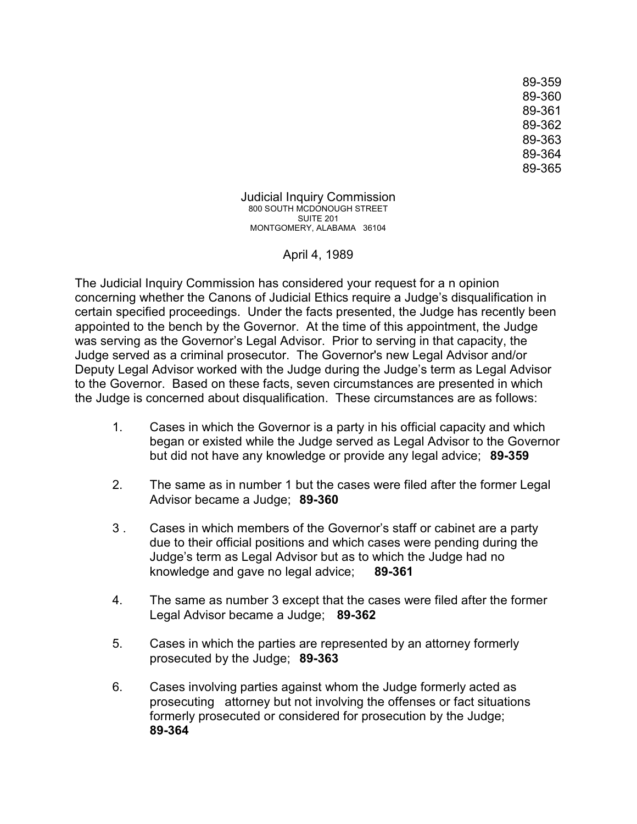89-359 89-360 89-361 89-362 89-363 89-364 89-365

Judicial Inquiry Commission 800 SOUTH MCDONOUGH STREET SUITE 201 MONTGOMERY, ALABAMA 36104

April 4, 1989

The Judicial Inquiry Commission has considered your request for a n opinion concerning whether the Canons of Judicial Ethics require a Judge's disqualification in certain specified proceedings. Under the facts presented, the Judge has recently been appointed to the bench by the Governor. At the time of this appointment, the Judge was serving as the Governor's Legal Advisor. Prior to serving in that capacity, the Judge served as a criminal prosecutor. The Governor's new Legal Advisor and/or Deputy Legal Advisor worked with the Judge during the Judge's term as Legal Advisor to the Governor. Based on these facts, seven circumstances are presented in which the Judge is concerned about disqualification. These circumstances are as follows:

- 1. Cases in which the Governor is a party in his official capacity and which began or existed while the Judge served as Legal Advisor to the Governor but did not have any knowledge or provide any legal advice; **89-359**
- 2. The same as in number 1 but the cases were filed after the former Legal Advisor became a Judge; **89-360**
- 3 . Cases in which members of the Governor's staff or cabinet are a party due to their official positions and which cases were pending during the Judge's term as Legal Advisor but as to which the Judge had no knowledge and gave no legal advice; **89-361**
- 4. The same as number 3 except that the cases were filed after the former Legal Advisor became a Judge; **89-362**
- 5. Cases in which the parties are represented by an attorney formerly prosecuted by the Judge; **89-363**
- 6. Cases involving parties against whom the Judge formerly acted as prosecuting attorney but not involving the offenses or fact situations formerly prosecuted or considered for prosecution by the Judge; **89-364**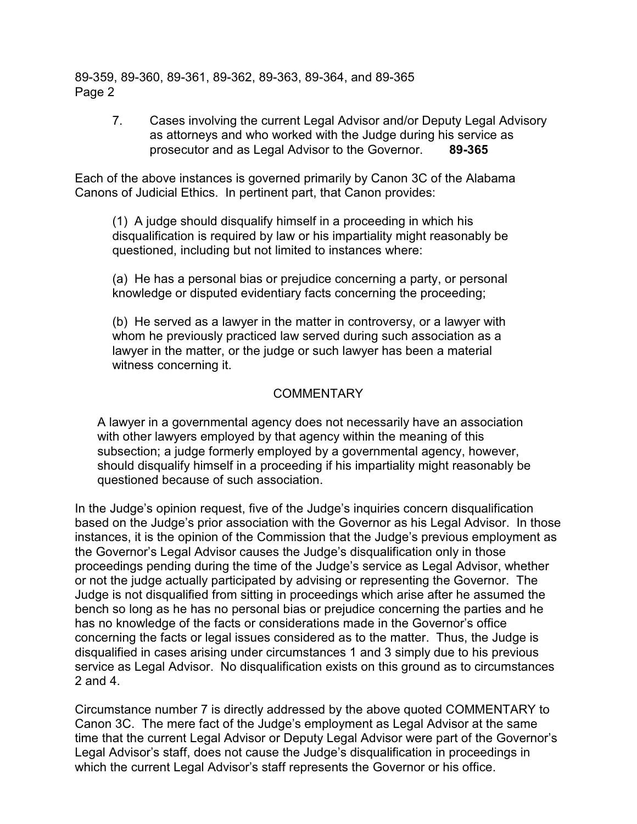89-359, 89-360, 89-361, 89-362, 89-363, 89-364, and 89-365 Page 2

> 7. Cases involving the current Legal Advisor and/or Deputy Legal Advisory as attorneys and who worked with the Judge during his service as prosecutor and as Legal Advisor to the Governor. **89-365**

Each of the above instances is governed primarily by Canon 3C of the Alabama Canons of Judicial Ethics. In pertinent part, that Canon provides:

(1) A judge should disqualify himself in a proceeding in which his disqualification is required by law or his impartiality might reasonably be questioned, including but not limited to instances where:

(a) He has a personal bias or prejudice concerning a party, or personal knowledge or disputed evidentiary facts concerning the proceeding;

(b) He served as a lawyer in the matter in controversy, or a lawyer with whom he previously practiced law served during such association as a lawyer in the matter, or the judge or such lawyer has been a material witness concerning it.

## COMMENTARY

A lawyer in a governmental agency does not necessarily have an association with other lawyers employed by that agency within the meaning of this subsection; a judge formerly employed by a governmental agency, however, should disqualify himself in a proceeding if his impartiality might reasonably be questioned because of such association.

In the Judge's opinion request, five of the Judge's inquiries concern disqualification based on the Judge's prior association with the Governor as his Legal Advisor. In those instances, it is the opinion of the Commission that the Judge's previous employment as the Governor's Legal Advisor causes the Judge's disqualification only in those proceedings pending during the time of the Judge's service as Legal Advisor, whether or not the judge actually participated by advising or representing the Governor. The Judge is not disqualified from sitting in proceedings which arise after he assumed the bench so long as he has no personal bias or prejudice concerning the parties and he has no knowledge of the facts or considerations made in the Governor's office concerning the facts or legal issues considered as to the matter. Thus, the Judge is disqualified in cases arising under circumstances 1 and 3 simply due to his previous service as Legal Advisor. No disqualification exists on this ground as to circumstances 2 and 4.

Circumstance number 7 is directly addressed by the above quoted COMMENTARY to Canon 3C. The mere fact of the Judge's employment as Legal Advisor at the same time that the current Legal Advisor or Deputy Legal Advisor were part of the Governor's Legal Advisor's staff, does not cause the Judge's disqualification in proceedings in which the current Legal Advisor's staff represents the Governor or his office.